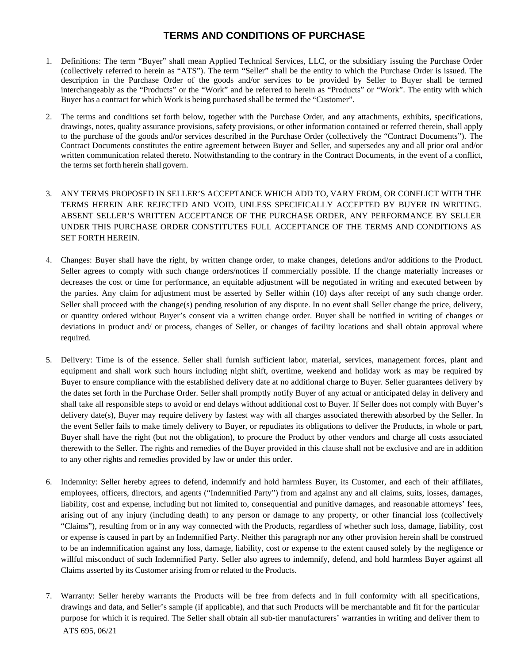## **TERMS AND CONDITIONS OF PURCHASE**

- 1. Definitions: The term "Buyer" shall mean Applied Technical Services, LLC, or the subsidiary issuing the Purchase Order (collectively referred to herein as "ATS"). The term "Seller" shall be the entity to which the Purchase Order is issued. The description in the Purchase Order of the goods and/or services to be provided by Seller to Buyer shall be termed interchangeably as the "Products" or the "Work" and be referred to herein as "Products" or "Work". The entity with which Buyer has a contract for which Work is being purchased shall be termed the "Customer".
- 2. The terms and conditions set forth below, together with the Purchase Order, and any attachments, exhibits, specifications, drawings, notes, quality assurance provisions, safety provisions, or other information contained or referred therein, shall apply to the purchase of the goods and/or services described in the Purchase Order (collectively the "Contract Documents"). The Contract Documents constitutes the entire agreement between Buyer and Seller, and supersedes any and all prior oral and/or written communication related thereto. Notwithstanding to the contrary in the Contract Documents, in the event of a conflict, the terms set forth herein shall govern.
- 3. ANY TERMS PROPOSED IN SELLER'S ACCEPTANCE WHICH ADD TO, VARY FROM, OR CONFLICT WITH THE TERMS HEREIN ARE REJECTED AND VOID, UNLESS SPECIFICALLY ACCEPTED BY BUYER IN WRITING. ABSENT SELLER'S WRITTEN ACCEPTANCE OF THE PURCHASE ORDER, ANY PERFORMANCE BY SELLER UNDER THIS PURCHASE ORDER CONSTITUTES FULL ACCEPTANCE OF THE TERMS AND CONDITIONS AS SET FORTH HEREIN.
- 4. Changes: Buyer shall have the right, by written change order, to make changes, deletions and/or additions to the Product. Seller agrees to comply with such change orders/notices if commercially possible. If the change materially increases or decreases the cost or time for performance, an equitable adjustment will be negotiated in writing and executed between by the parties. Any claim for adjustment must be asserted by Seller within (10) days after receipt of any such change order. Seller shall proceed with the change(s) pending resolution of any dispute. In no event shall Seller change the price, delivery, or quantity ordered without Buyer's consent via a written change order. Buyer shall be notified in writing of changes or deviations in product and/ or process, changes of Seller, or changes of facility locations and shall obtain approval where required.
- 5. Delivery: Time is of the essence. Seller shall furnish sufficient labor, material, services, management forces, plant and equipment and shall work such hours including night shift, overtime, weekend and holiday work as may be required by Buyer to ensure compliance with the established delivery date at no additional charge to Buyer. Seller guarantees delivery by the dates set forth in the Purchase Order. Seller shall promptly notify Buyer of any actual or anticipated delay in delivery and shall take all responsible steps to avoid or end delays without additional cost to Buyer. If Seller does not comply with Buyer's delivery date(s), Buyer may require delivery by fastest way with all charges associated therewith absorbed by the Seller. In the event Seller fails to make timely delivery to Buyer, or repudiates its obligations to deliver the Products, in whole or part, Buyer shall have the right (but not the obligation), to procure the Product by other vendors and charge all costs associated therewith to the Seller. The rights and remedies of the Buyer provided in this clause shall not be exclusive and are in addition to any other rights and remedies provided by law or under this order.
- 6. Indemnity: Seller hereby agrees to defend, indemnify and hold harmless Buyer, its Customer, and each of their affiliates, employees, officers, directors, and agents ("Indemnified Party") from and against any and all claims, suits, losses, damages, liability, cost and expense, including but not limited to, consequential and punitive damages, and reasonable attorneys' fees, arising out of any injury (including death) to any person or damage to any property, or other financial loss (collectively "Claims"), resulting from or in any way connected with the Products, regardless of whether such loss, damage, liability, cost or expense is caused in part by an Indemnified Party. Neither this paragraph nor any other provision herein shall be construed to be an indemnification against any loss, damage, liability, cost or expense to the extent caused solely by the negligence or willful misconduct of such Indemnified Party. Seller also agrees to indemnify, defend, and hold harmless Buyer against all Claims asserted by its Customer arising from or related to the Products.
- ATS 695, 06/21 7. Warranty: Seller hereby warrants the Products will be free from defects and in full conformity with all specifications, drawings and data, and Seller's sample (if applicable), and that such Products will be merchantable and fit for the particular purpose for which it is required. The Seller shall obtain all sub-tier manufacturers' warranties in writing and deliver them to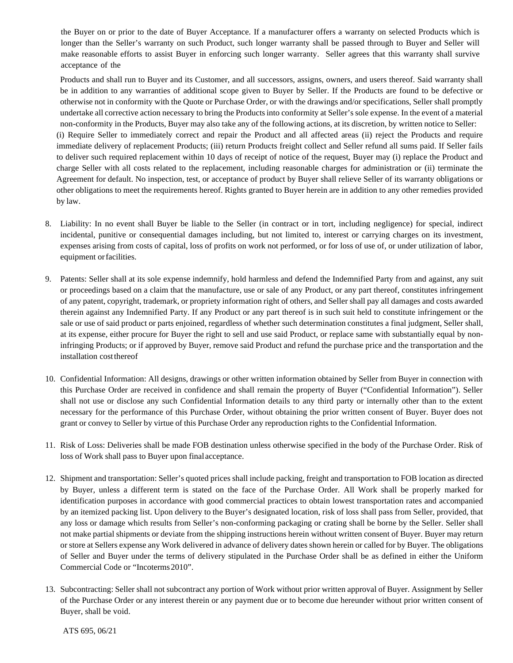the Buyer on or prior to the date of Buyer Acceptance. If a manufacturer offers a warranty on selected Products which is longer than the Seller's warranty on such Product, such longer warranty shall be passed through to Buyer and Seller will make reasonable efforts to assist Buyer in enforcing such longer warranty. Seller agrees that this warranty shall survive acceptance of the

Products and shall run to Buyer and its Customer, and all successors, assigns, owners, and users thereof. Said warranty shall be in addition to any warranties of additional scope given to Buyer by Seller. If the Products are found to be defective or otherwise not in conformity with the Quote or Purchase Order, or with the drawings and/or specifications, Seller shall promptly undertake all corrective action necessary to bring the Productsinto conformity at Seller'ssole expense. In the event of a material non-conformity in the Products, Buyer may also take any of the following actions, at its discretion, by written notice to Seller: (i) Require Seller to immediately correct and repair the Product and all affected areas (ii) reject the Products and require

immediate delivery of replacement Products; (iii) return Products freight collect and Seller refund all sums paid. If Seller fails to deliver such required replacement within 10 days of receipt of notice of the request, Buyer may (i) replace the Product and charge Seller with all costs related to the replacement, including reasonable charges for administration or (ii) terminate the Agreement for default. No inspection, test, or acceptance of product by Buyer shall relieve Seller of its warranty obligations or other obligations to meet the requirements hereof. Rights granted to Buyer herein are in addition to any other remedies provided by law.

- 8. Liability: In no event shall Buyer be liable to the Seller (in contract or in tort, including negligence) for special, indirect incidental, punitive or consequential damages including, but not limited to, interest or carrying charges on its investment, expenses arising from costs of capital, loss of profits on work not performed, or for loss of use of, or under utilization of labor, equipment orfacilities.
- 9. Patents: Seller shall at its sole expense indemnify, hold harmless and defend the Indemnified Party from and against, any suit or proceedings based on a claim that the manufacture, use or sale of any Product, or any part thereof, constitutes infringement of any patent, copyright, trademark, or propriety information right of others, and Seller shall pay all damages and costs awarded therein against any Indemnified Party. If any Product or any part thereof is in such suit held to constitute infringement or the sale or use of said product or parts enjoined, regardless of whether such determination constitutes a final judgment, Seller shall, at its expense, either procure for Buyer the right to sell and use said Product, or replace same with substantially equal by noninfringing Products; or if approved by Buyer, remove said Product and refund the purchase price and the transportation and the installation costthereof
- 10. Confidential Information: All designs, drawings or other written information obtained by Seller from Buyer in connection with this Purchase Order are received in confidence and shall remain the property of Buyer ("Confidential Information"). Seller shall not use or disclose any such Confidential Information details to any third party or internally other than to the extent necessary for the performance of this Purchase Order, without obtaining the prior written consent of Buyer. Buyer does not grant or convey to Seller by virtue of this Purchase Order any reproduction rights to the Confidential Information.
- 11. Risk of Loss: Deliveries shall be made FOB destination unless otherwise specified in the body of the Purchase Order. Risk of loss of Work shall pass to Buyer upon finalacceptance.
- 12. Shipment and transportation: Seller's quoted prices shall include packing, freight and transportation to FOB location as directed by Buyer, unless a different term is stated on the face of the Purchase Order. All Work shall be properly marked for identification purposes in accordance with good commercial practices to obtain lowest transportation rates and accompanied by an itemized packing list. Upon delivery to the Buyer's designated location, risk of loss shall pass from Seller, provided, that any loss or damage which results from Seller's non-conforming packaging or crating shall be borne by the Seller. Seller shall not make partial shipments or deviate from the shipping instructions herein without written consent of Buyer. Buyer may return or store at Sellers expense any Work delivered in advance of delivery dates shown herein or called for by Buyer. The obligations of Seller and Buyer under the terms of delivery stipulated in the Purchase Order shall be as defined in either the Uniform Commercial Code or "Incoterms2010".
- 13. Subcontracting: Seller shall not subcontract any portion of Work without prior written approval of Buyer. Assignment by Seller of the Purchase Order or any interest therein or any payment due or to become due hereunder without prior written consent of Buyer, shall be void.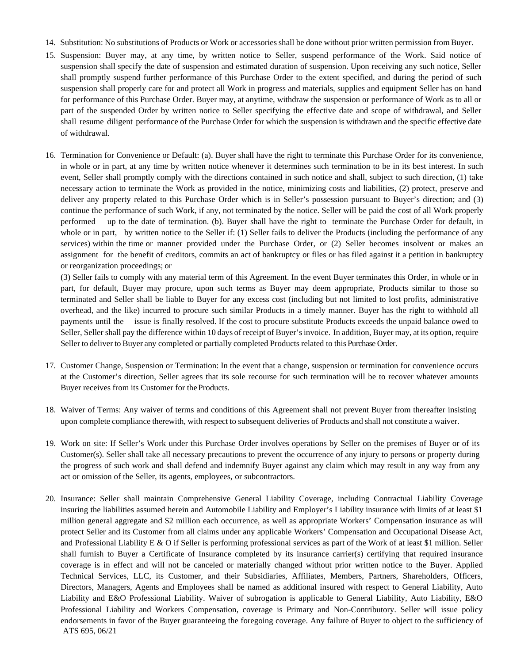- 14. Substitution: No substitutions of Products or Work or accessories shall be done without prior written permission fromBuyer.
- 15. Suspension: Buyer may, at any time, by written notice to Seller, suspend performance of the Work. Said notice of suspension shall specify the date of suspension and estimated duration of suspension. Upon receiving any such notice, Seller shall promptly suspend further performance of this Purchase Order to the extent specified, and during the period of such suspension shall properly care for and protect all Work in progress and materials, supplies and equipment Seller has on hand for performance of this Purchase Order. Buyer may, at anytime, withdraw the suspension or performance of Work as to all or part of the suspended Order by written notice to Seller specifying the effective date and scope of withdrawal, and Seller shall resume diligent performance of the Purchase Order for which the suspension is withdrawn and the specific effective date of withdrawal.
- 16. Termination for Convenience or Default: (a). Buyer shall have the right to terminate this Purchase Order for its convenience, in whole or in part, at any time by written notice whenever it determines such termination to be in its best interest. In such event, Seller shall promptly comply with the directions contained in such notice and shall, subject to such direction, (1) take necessary action to terminate the Work as provided in the notice, minimizing costs and liabilities, (2) protect, preserve and deliver any property related to this Purchase Order which is in Seller's possession pursuant to Buyer's direction; and (3) continue the performance of such Work, if any, not terminated by the notice. Seller will be paid the cost of all Work properly performed up to the date of termination. (b). Buyer shall have the right to terminate the Purchase Order for default, in whole or in part, by written notice to the Seller if: (1) Seller fails to deliver the Products (including the performance of any services) within the time or manner provided under the Purchase Order, or (2) Seller becomes insolvent or makes an assignment for the benefit of creditors, commits an act of bankruptcy or files or has filed against it a petition in bankruptcy or reorganization proceedings; or

(3) Seller fails to comply with any material term of this Agreement. In the event Buyer terminates this Order, in whole or in part, for default, Buyer may procure, upon such terms as Buyer may deem appropriate, Products similar to those so terminated and Seller shall be liable to Buyer for any excess cost (including but not limited to lost profits, administrative overhead, and the like) incurred to procure such similar Products in a timely manner. Buyer has the right to withhold all payments until the issue is finally resolved. If the cost to procure substitute Products exceeds the unpaid balance owed to Seller, Seller shall pay the difference within 10 days of receipt of Buyer's invoice. In addition, Buyer may, at its option, require Seller to deliver to Buyer any completed or partially completed Products related to this Purchase Order.

- 17. Customer Change, Suspension or Termination: In the event that a change, suspension or termination for convenience occurs at the Customer's direction, Seller agrees that its sole recourse for such termination will be to recover whatever amounts Buyer receives from its Customer for theProducts.
- 18. Waiver of Terms: Any waiver of terms and conditions of this Agreement shall not prevent Buyer from thereafter insisting upon complete compliance therewith, with respect to subsequent deliveries of Products and shall not constitute a waiver.
- 19. Work on site: If Seller's Work under this Purchase Order involves operations by Seller on the premises of Buyer or of its Customer(s). Seller shall take all necessary precautions to prevent the occurrence of any injury to persons or property during the progress of such work and shall defend and indemnify Buyer against any claim which may result in any way from any act or omission of the Seller, its agents, employees, or subcontractors.
- ATS 695, 06/21 20. Insurance: Seller shall maintain Comprehensive General Liability Coverage, including Contractual Liability Coverage insuring the liabilities assumed herein and Automobile Liability and Employer's Liability insurance with limits of at least \$1 million general aggregate and \$2 million each occurrence, as well as appropriate Workers' Compensation insurance as will protect Seller and its Customer from all claims under any applicable Workers' Compensation and Occupational Disease Act, and Professional Liability E & O if Seller is performing professional services as part of the Work of at least \$1 million. Seller shall furnish to Buyer a Certificate of Insurance completed by its insurance carrier(s) certifying that required insurance coverage is in effect and will not be canceled or materially changed without prior written notice to the Buyer. Applied Technical Services, LLC, its Customer, and their Subsidiaries, Affiliates, Members, Partners, Shareholders, Officers, Directors, Managers, Agents and Employees shall be named as additional insured with respect to General Liability, Auto Liability and E&O Professional Liability. Waiver of subrogation is applicable to General Liability, Auto Liability, E&O Professional Liability and Workers Compensation, coverage is Primary and Non-Contributory. Seller will issue policy endorsements in favor of the Buyer guaranteeing the foregoing coverage. Any failure of Buyer to object to the sufficiency of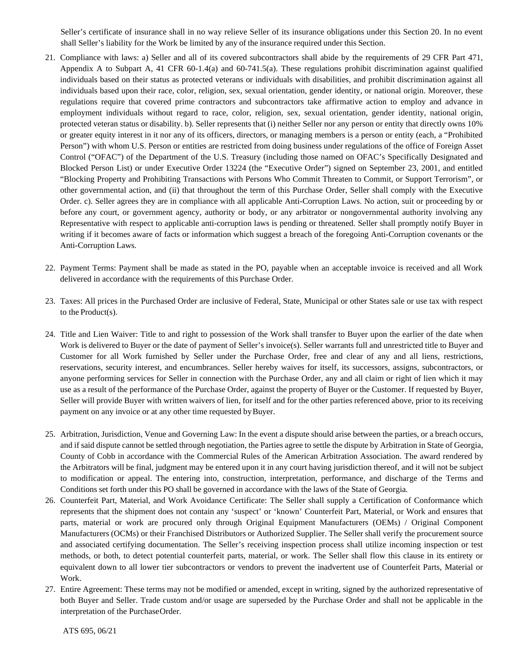Seller's certificate of insurance shall in no way relieve Seller of its insurance obligations under this Section 20. In no event shall Seller's liability for the Work be limited by any of the insurance required under this Section.

- 21. Compliance with laws: a) Seller and all of its covered subcontractors shall abide by the requirements of 29 CFR Part 471, Appendix A to Subpart A, 41 CFR 60-1.4(a) and 60-741.5(a). These regulations prohibit discrimination against qualified individuals based on their status as protected veterans or individuals with disabilities, and prohibit discrimination against all individuals based upon their race, color, religion, sex, sexual orientation, gender identity, or national origin. Moreover, these regulations require that covered prime contractors and subcontractors take affirmative action to employ and advance in employment individuals without regard to race, color, religion, sex, sexual orientation, gender identity, national origin, protected veteran status or disability. b). Seller represents that (i) neither Seller nor any person or entity that directly owns 10% or greater equity interest in it nor any of its officers, directors, or managing members is a person or entity (each, a "Prohibited Person") with whom U.S. Person or entities are restricted from doing business under regulations of the office of Foreign Asset Control ("OFAC") of the Department of the U.S. Treasury (including those named on OFAC's Specifically Designated and Blocked Person List) or under Executive Order 13224 (the "Executive Order") signed on September 23, 2001, and entitled "Blocking Property and Prohibiting Transactions with Persons Who Commit Threaten to Commit, or Support Terrorism", or other governmental action, and (ii) that throughout the term of this Purchase Order, Seller shall comply with the Executive Order. c). Seller agrees they are in compliance with all applicable Anti-Corruption Laws. No action, suit or proceeding by or before any court, or government agency, authority or body, or any arbitrator or nongovernmental authority involving any Representative with respect to applicable anti-corruption laws is pending or threatened. Seller shall promptly notify Buyer in writing if it becomes aware of facts or information which suggest a breach of the foregoing Anti-Corruption covenants or the Anti-Corruption Laws.
- 22. Payment Terms: Payment shall be made as stated in the PO, payable when an acceptable invoice is received and all Work delivered in accordance with the requirements of this Purchase Order.
- 23. Taxes: All prices in the Purchased Order are inclusive of Federal, State, Municipal or other States sale or use tax with respect to the Product(s).
- 24. Title and Lien Waiver: Title to and right to possession of the Work shall transfer to Buyer upon the earlier of the date when Work is delivered to Buyer or the date of payment of Seller's invoice(s). Seller warrants full and unrestricted title to Buyer and Customer for all Work furnished by Seller under the Purchase Order, free and clear of any and all liens, restrictions, reservations, security interest, and encumbrances. Seller hereby waives for itself, its successors, assigns, subcontractors, or anyone performing services for Seller in connection with the Purchase Order, any and all claim or right of lien which it may use as a result of the performance of the Purchase Order, against the property of Buyer or the Customer. If requested by Buyer, Seller will provide Buyer with written waivers of lien, for itself and for the other parties referenced above, prior to its receiving payment on any invoice or at any other time requested by Buyer.
- 25. Arbitration, Jurisdiction, Venue and Governing Law: In the event a dispute should arise between the parties, or a breach occurs, and if said dispute cannot be settled through negotiation, the Parties agree to settle the dispute by Arbitration in State of Georgia, County of Cobb in accordance with the Commercial Rules of the American Arbitration Association. The award rendered by the Arbitrators will be final, judgment may be entered upon it in any court having jurisdiction thereof, and it will not be subject to modification or appeal. The entering into, construction, interpretation, performance, and discharge of the Terms and Conditions set forth under this PO shall be governed in accordance with the laws of the State of Georgia.
- 26. Counterfeit Part, Material, and Work Avoidance Certificate: The Seller shall supply a Certification of Conformance which represents that the shipment does not contain any 'suspect' or 'known' Counterfeit Part, Material, or Work and ensures that parts, material or work are procured only through Original Equipment Manufacturers (OEMs) / Original Component Manufacturers (OCMs) or their Franchised Distributors or Authorized Supplier. The Seller shall verify the procurement source and associated certifying documentation. The Seller's receiving inspection process shall utilize incoming inspection or test methods, or both, to detect potential counterfeit parts, material, or work. The Seller shall flow this clause in its entirety or equivalent down to all lower tier subcontractors or vendors to prevent the inadvertent use of Counterfeit Parts, Material or Work.
- 27. Entire Agreement: These terms may not be modified or amended, except in writing, signed by the authorized representative of both Buyer and Seller. Trade custom and/or usage are superseded by the Purchase Order and shall not be applicable in the interpretation of the PurchaseOrder.